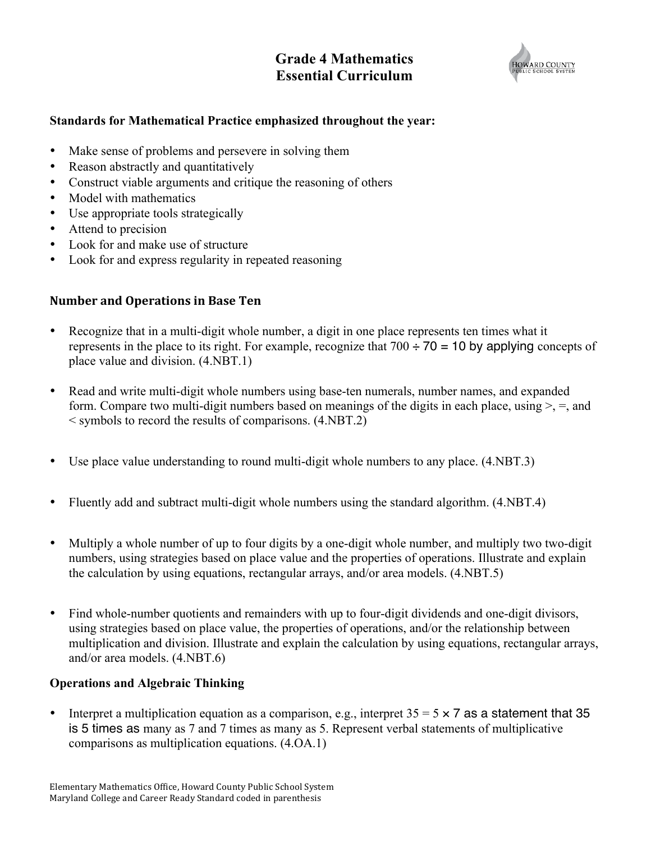# **Grade 4 Mathematics Essential Curriculum**



# **Standards for Mathematical Practice emphasized throughout the year:**

- Make sense of problems and persevere in solving them
- Reason abstractly and quantitatively
- Construct viable arguments and critique the reasoning of others
- Model with mathematics
- Use appropriate tools strategically
- Attend to precision
- Look for and make use of structure
- Look for and express regularity in repeated reasoning

### **Number and Operations in Base Ten**

- Recognize that in a multi-digit whole number, a digit in one place represents ten times what it represents in the place to its right. For example, recognize that  $700 \div 70 = 10$  by applying concepts of place value and division. (4.NBT.1)
- Read and write multi-digit whole numbers using base-ten numerals, number names, and expanded form. Compare two multi-digit numbers based on meanings of the digits in each place, using  $\geq$ ,  $=$ , and < symbols to record the results of comparisons. (4.NBT.2)
- Use place value understanding to round multi-digit whole numbers to any place. (4.NBT.3)
- Fluently add and subtract multi-digit whole numbers using the standard algorithm.  $(4.NET.4)$
- Multiply a whole number of up to four digits by a one-digit whole number, and multiply two two-digit numbers, using strategies based on place value and the properties of operations. Illustrate and explain the calculation by using equations, rectangular arrays, and/or area models. (4.NBT.5)
- Find whole-number quotients and remainders with up to four-digit dividends and one-digit divisors, using strategies based on place value, the properties of operations, and/or the relationship between multiplication and division. Illustrate and explain the calculation by using equations, rectangular arrays, and/or area models. (4.NBT.6)

#### **Operations and Algebraic Thinking**

• Interpret a multiplication equation as a comparison, e.g., interpret  $35 = 5 \times 7$  as a statement that 35 is 5 times as many as 7 and 7 times as many as 5. Represent verbal statements of multiplicative comparisons as multiplication equations. (4.OA.1)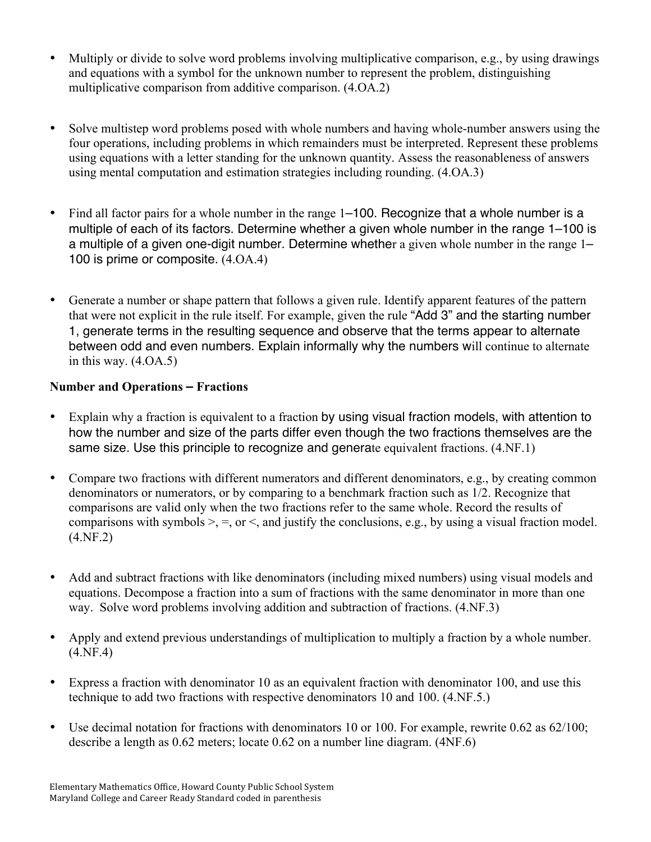- Multiply or divide to solve word problems involving multiplicative comparison, e.g., by using drawings and equations with a symbol for the unknown number to represent the problem, distinguishing multiplicative comparison from additive comparison. (4.OA.2)
- Solve multistep word problems posed with whole numbers and having whole-number answers using the four operations, including problems in which remainders must be interpreted. Represent these problems using equations with a letter standing for the unknown quantity. Assess the reasonableness of answers using mental computation and estimation strategies including rounding. (4.OA.3)
- Find all factor pairs for a whole number in the range 1–100. Recognize that a whole number is a multiple of each of its factors. Determine whether a given whole number in the range 1–100 is a multiple of a given one-digit number. Determine whether a given whole number in the range 1– 100 is prime or composite. (4.OA.4)
- Generate a number or shape pattern that follows a given rule. Identify apparent features of the pattern that were not explicit in the rule itself. For example, given the rule "Add 3" and the starting number 1, generate terms in the resulting sequence and observe that the terms appear to alternate between odd and even numbers. Explain informally why the numbers will continue to alternate in this way. (4.OA.5)

# **Number and Operations – Fractions**

- Explain why a fraction is equivalent to a fraction by using visual fraction models, with attention to how the number and size of the parts differ even though the two fractions themselves are the same size. Use this principle to recognize and generate equivalent fractions.  $(4.NF.1)$
- Compare two fractions with different numerators and different denominators, e.g., by creating common denominators or numerators, or by comparing to a benchmark fraction such as 1/2. Recognize that comparisons are valid only when the two fractions refer to the same whole. Record the results of comparisons with symbols  $\geq$ ,  $\equiv$ , or  $\leq$ , and justify the conclusions, e.g., by using a visual fraction model. (4.NF.2)
- Add and subtract fractions with like denominators (including mixed numbers) using visual models and equations. Decompose a fraction into a sum of fractions with the same denominator in more than one way. Solve word problems involving addition and subtraction of fractions. (4.NF.3)
- Apply and extend previous understandings of multiplication to multiply a fraction by a whole number. (4.NF.4)
- Express a fraction with denominator 10 as an equivalent fraction with denominator 100, and use this technique to add two fractions with respective denominators 10 and 100. (4.NF.5.)
- Use decimal notation for fractions with denominators 10 or 100. For example, rewrite 0.62 as 62/100; describe a length as 0.62 meters; locate 0.62 on a number line diagram. (4NF.6)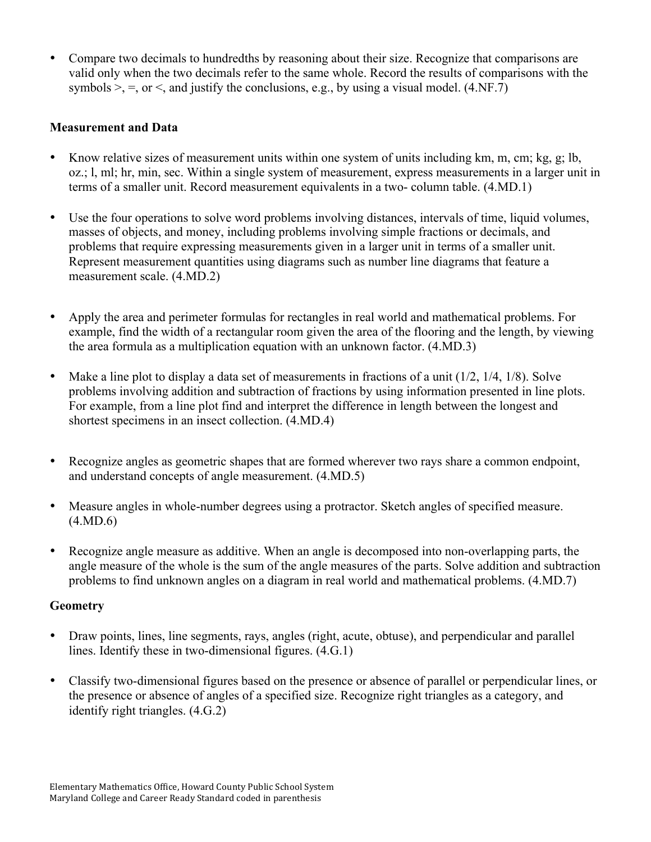• Compare two decimals to hundredths by reasoning about their size. Recognize that comparisons are valid only when the two decimals refer to the same whole. Record the results of comparisons with the symbols  $\ge$ , =, or  $\le$ , and justify the conclusions, e.g., by using a visual model. (4.NF.7)

# **Measurement and Data**

- Know relative sizes of measurement units within one system of units including km, m, cm; kg, g; lb, oz.; l, ml; hr, min, sec. Within a single system of measurement, express measurements in a larger unit in terms of a smaller unit. Record measurement equivalents in a two- column table. (4.MD.1)
- Use the four operations to solve word problems involving distances, intervals of time, liquid volumes, masses of objects, and money, including problems involving simple fractions or decimals, and problems that require expressing measurements given in a larger unit in terms of a smaller unit. Represent measurement quantities using diagrams such as number line diagrams that feature a measurement scale. (4.MD.2)
- Apply the area and perimeter formulas for rectangles in real world and mathematical problems. For example, find the width of a rectangular room given the area of the flooring and the length, by viewing the area formula as a multiplication equation with an unknown factor. (4.MD.3)
- Make a line plot to display a data set of measurements in fractions of a unit  $(1/2, 1/4, 1/8)$ . Solve problems involving addition and subtraction of fractions by using information presented in line plots. For example, from a line plot find and interpret the difference in length between the longest and shortest specimens in an insect collection. (4.MD.4)
- Recognize angles as geometric shapes that are formed wherever two rays share a common endpoint, and understand concepts of angle measurement. (4.MD.5)
- Measure angles in whole-number degrees using a protractor. Sketch angles of specified measure. (4.MD.6)
- Recognize angle measure as additive. When an angle is decomposed into non-overlapping parts, the angle measure of the whole is the sum of the angle measures of the parts. Solve addition and subtraction problems to find unknown angles on a diagram in real world and mathematical problems. (4.MD.7)

#### **Geometry**

- Draw points, lines, line segments, rays, angles (right, acute, obtuse), and perpendicular and parallel lines. Identify these in two-dimensional figures. (4.G.1)
- Classify two-dimensional figures based on the presence or absence of parallel or perpendicular lines, or the presence or absence of angles of a specified size. Recognize right triangles as a category, and identify right triangles. (4.G.2)